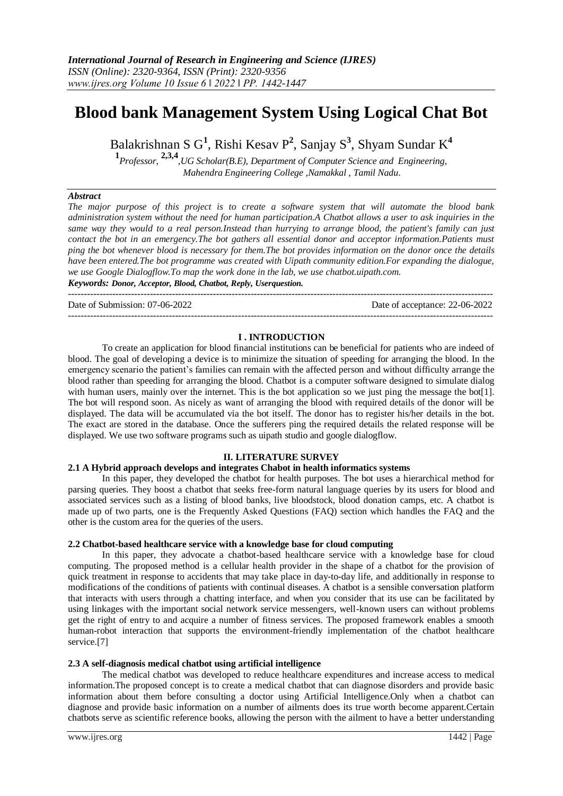# **Blood bank Management System Using Logical Chat Bot**

Balakrishnan S G**<sup>1</sup>** , Rishi Kesav P**<sup>2</sup>** , Sanjay S**<sup>3</sup>** , Shyam Sundar K**<sup>4</sup>**

**1** *Professor,* **2,3,4***,UG Scholar(B.E), Department of Computer Science and Engineering, Mahendra Engineering College ,Namakkal , Tamil Nadu*.

## *Abstract*

*The major purpose of this project is to create a software system that will automate the blood bank administration system without the need for human participation.A Chatbot allows a user to ask inquiries in the same way they would to a real person.Instead than hurrying to arrange blood, the patient's family can just contact the bot in an emergency.The bot gathers all essential donor and acceptor information.Patients must ping the bot whenever blood is necessary for them.The bot provides information on the donor once the details have been entered.The bot programme was created with Uipath community edition.For expanding the dialogue, we use Google Dialogflow.To map the work done in the lab, we use chatbot.uipath.com. Keywords: Donor, Acceptor, Blood, Chatbot, Reply, Userquestion.*

---------------------------------------------------------------------------------------------------------------------------------------

Date of Submission: 07-06-2022 Date of acceptance: 22-06-2022

#### **I . INTRODUCTION**

---------------------------------------------------------------------------------------------------------------------------------------

To create an application for blood financial institutions can be beneficial for patients who are indeed of blood. The goal of developing a device is to minimize the situation of speeding for arranging the blood. In the emergency scenario the patient's families can remain with the affected person and without difficulty arrange the blood rather than speeding for arranging the blood. Chatbot is a computer software designed to simulate dialog with human users, mainly over the internet. This is the bot application so we just ping the message the bot[1]. The bot will respond soon. As nicely as want of arranging the blood with required details of the donor will be displayed. The data will be accumulated via the bot itself. The donor has to register his/her details in the bot. The exact are stored in the database. Once the sufferers ping the required details the related response will be displayed. We use two software programs such as uipath studio and google dialogflow.

#### **II. LITERATURE SURVEY**

#### **2.1 A Hybrid approach develops and integrates Chabot in health informatics systems**

In this paper, they developed the chatbot for health purposes. The bot uses a hierarchical method for parsing queries. They boost a chatbot that seeks free-form natural language queries by its users for blood and associated services such as a listing of blood banks, live bloodstock, blood donation camps, etc. A chatbot is made up of two parts, one is the Frequently Asked Questions (FAQ) section which handles the FAQ and the other is the custom area for the queries of the users.

#### **2.2 Chatbot-based healthcare service with a knowledge base for cloud computing**

In this paper, they advocate a chatbot-based healthcare service with a knowledge base for cloud computing. The proposed method is a cellular health provider in the shape of a chatbot for the provision of quick treatment in response to accidents that may take place in day-to-day life, and additionally in response to modifications of the conditions of patients with continual diseases. A chatbot is a sensible conversation platform that interacts with users through a chatting interface, and when you consider that its use can be facilitated by using linkages with the important social network service messengers, well-known users can without problems get the right of entry to and acquire a number of fitness services. The proposed framework enables a smooth human-robot interaction that supports the environment-friendly implementation of the chatbot healthcare service.<sup>[7]</sup>

## **2.3 A self-diagnosis medical chatbot using artificial intelligence**

The medical chatbot was developed to reduce healthcare expenditures and increase access to medical information.The proposed concept is to create a medical chatbot that can diagnose disorders and provide basic information about them before consulting a doctor using Artificial Intelligence.Only when a chatbot can diagnose and provide basic information on a number of ailments does its true worth become apparent.Certain chatbots serve as scientific reference books, allowing the person with the ailment to have a better understanding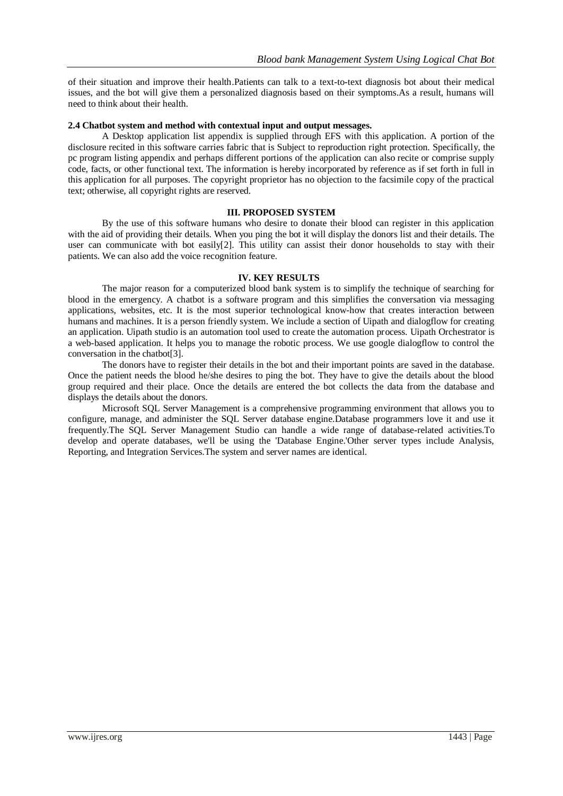of their situation and improve their health.Patients can talk to a text-to-text diagnosis bot about their medical issues, and the bot will give them a personalized diagnosis based on their symptoms.As a result, humans will need to think about their health.

#### **2.4 Chatbot system and method with contextual input and output messages.**

A Desktop application list appendix is supplied through EFS with this application. A portion of the disclosure recited in this software carries fabric that is Subject to reproduction right protection. Specifically, the pc program listing appendix and perhaps different portions of the application can also recite or comprise supply code, facts, or other functional text. The information is hereby incorporated by reference as if set forth in full in this application for all purposes. The copyright proprietor has no objection to the facsimile copy of the practical text; otherwise, all copyright rights are reserved.

## **III. PROPOSED SYSTEM**

By the use of this software humans who desire to donate their blood can register in this application with the aid of providing their details. When you ping the bot it will display the donors list and their details. The user can communicate with bot easily[2]. This utility can assist their donor households to stay with their patients. We can also add the voice recognition feature.

#### **IV. KEY RESULTS**

The major reason for a computerized blood bank system is to simplify the technique of searching for blood in the emergency. A chatbot is a software program and this simplifies the conversation via messaging applications, websites, etc. It is the most superior technological know-how that creates interaction between humans and machines. It is a person friendly system. We include a section of Uipath and dialogflow for creating an application. Uipath studio is an automation tool used to create the automation process. Uipath Orchestrator is a web-based application. It helps you to manage the robotic process. We use google dialogflow to control the conversation in the chatbot[3].

The donors have to register their details in the bot and their important points are saved in the database. Once the patient needs the blood he/she desires to ping the bot. They have to give the details about the blood group required and their place. Once the details are entered the bot collects the data from the database and displays the details about the donors.

Microsoft SQL Server Management is a comprehensive programming environment that allows you to configure, manage, and administer the SQL Server database engine.Database programmers love it and use it frequently.The SQL Server Management Studio can handle a wide range of database-related activities.To develop and operate databases, we'll be using the 'Database Engine.'Other server types include Analysis, Reporting, and Integration Services.The system and server names are identical.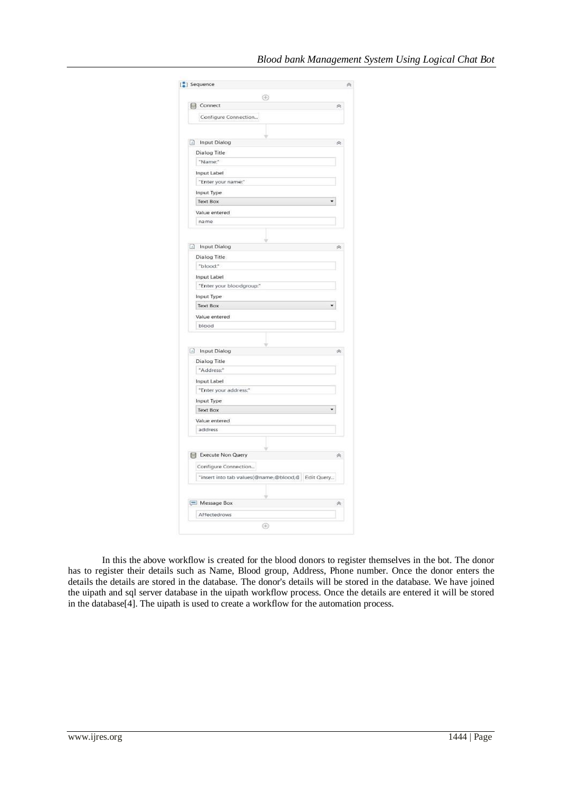| ⊕                                                 |         |
|---------------------------------------------------|---------|
| 目 Connect                                         | 《       |
| Configure Connection                              |         |
|                                                   |         |
| ÷                                                 |         |
| Input Dialog                                      | 奏       |
| Dialog Title                                      |         |
| "Name:"                                           |         |
| Input Label                                       |         |
| "Enter your name:"                                |         |
| Input Type<br><b>Text Box</b>                     |         |
|                                                   |         |
| Value entered<br>name                             |         |
|                                                   |         |
|                                                   |         |
| nput Dialog                                       | à       |
| Dialog Title                                      |         |
| "blood:"                                          |         |
| Input Label                                       |         |
| "Enter your bloodgroup:"                          |         |
| Input Type                                        |         |
| <b>Text Box</b><br>۰                              |         |
| Value entered                                     |         |
| blood                                             |         |
|                                                   |         |
| nput Dialog                                       | <i></i> |
| Dialog Title                                      |         |
| "Address:"                                        |         |
| Input Label                                       |         |
| "Enter your address:"                             |         |
| Input Type                                        |         |
| <b>Text Box</b>                                   |         |
| Value entered                                     |         |
| address                                           |         |
|                                                   |         |
| E Execute Non Query                               |         |
|                                                   | à       |
| Configure Connection                              |         |
| "insert into tab values(@name,@blood,@ Edit Query |         |
|                                                   |         |
|                                                   | 《       |
| Message Box                                       |         |

In this the above workflow is created for the blood donors to register themselves in the bot. The donor has to register their details such as Name, Blood group, Address, Phone number. Once the donor enters the details the details are stored in the database. The donor's details will be stored in the database. We have joined the uipath and sql server database in the uipath workflow process. Once the details are entered it will be stored in the database[4]. The uipath is used to create a workflow for the automation process.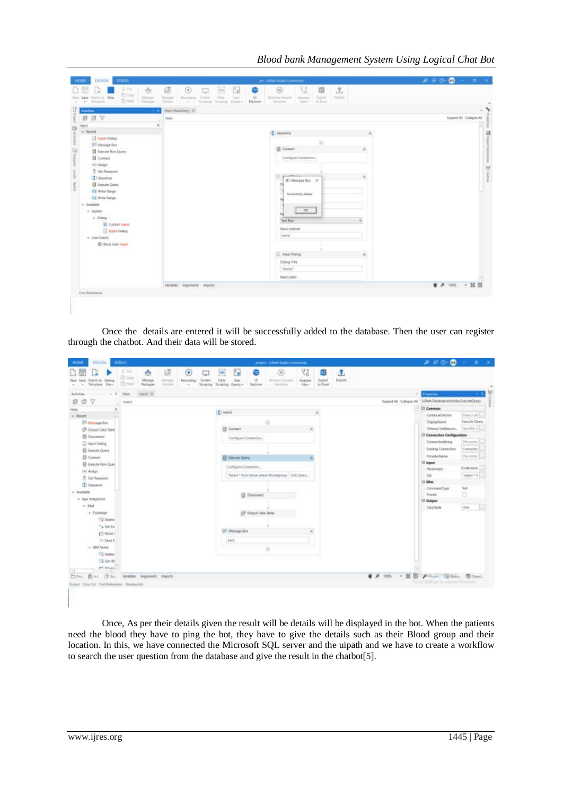| <b>DESIGN</b><br>DEBUG.<br><b>HOME</b>                                                                                                  | ps - Lifetti Studes Comments                                                                                                                                                                                                                                                                                                                                   | $0.70 - 0.4$            |
|-----------------------------------------------------------------------------------------------------------------------------------------|----------------------------------------------------------------------------------------------------------------------------------------------------------------------------------------------------------------------------------------------------------------------------------------------------------------------------------------------------------------|-------------------------|
| 3. car<br>壺<br><b>Dow</b><br>Export as Shop<br>Melapi<br>Steel 1<br>Turva:<br><b>CO</b> Paste<br>Rechapse<br>Terripiator<br>×<br>$\sim$ | 빇<br>圓<br>$\circledcirc$<br>土<br>$\begin{array}{c} \circ \\ \circ \end{array}$<br>団<br>$\Box$<br>G<br>gin<br>$\Box$<br>UI.<br>Dida<br><b>Separt</b><br><b>Fakkin</b><br>Maniger<br>Bacontra).<br>Sound<br><b>Ulari</b><br>Ramme Unainf<br>Analyze<br>Estter<br><b>Vanishe</b><br>film.<br>$\equiv$ Test<br>Arapita Sesanta Trenty<br><b>Diplorer</b><br>$\sim$ |                         |
| U.<br><b>CRIPPING</b><br>- 3                                                                                                            | Marchestbest X                                                                                                                                                                                                                                                                                                                                                 | $\rightarrow$           |
| <b>007</b>                                                                                                                              | Main                                                                                                                                                                                                                                                                                                                                                           | Expand All Collapse All |
| <b>FIRE</b><br>$-$ Recent                                                                                                               | $\overline{\phantom{a}}$                                                                                                                                                                                                                                                                                                                                       |                         |
| To Report Dialog                                                                                                                        | ITI Sequence                                                                                                                                                                                                                                                                                                                                                   | ü                       |
| <sup>(III</sup> Message Box)                                                                                                            | $\odot$<br>El Correct<br>a.                                                                                                                                                                                                                                                                                                                                    |                         |
| El Eservire Non Cowry<br>El Connect                                                                                                     | Configure Convection.                                                                                                                                                                                                                                                                                                                                          |                         |
| (x) Assign                                                                                                                              |                                                                                                                                                                                                                                                                                                                                                                | a Seantary B ocean      |
| <sup>2</sup> Oct Password                                                                                                               |                                                                                                                                                                                                                                                                                                                                                                |                         |
| 121 Sessence<br>El Liemate Query                                                                                                        | o<br><b>R</b> T Message Box X                                                                                                                                                                                                                                                                                                                                  |                         |
| <b>ES Wite Range</b>                                                                                                                    |                                                                                                                                                                                                                                                                                                                                                                |                         |
| <b>Ell</b> Write Range                                                                                                                  | Successfully Added                                                                                                                                                                                                                                                                                                                                             |                         |
| v Auduble<br>$=$ System                                                                                                                 | $C$ E                                                                                                                                                                                                                                                                                                                                                          |                         |
| w Diskog                                                                                                                                |                                                                                                                                                                                                                                                                                                                                                                |                         |
| <b>Int</b> Custom Import                                                                                                                | Text Fox<br>۰<br>Value entered                                                                                                                                                                                                                                                                                                                                 |                         |
| <b>B</b> Input Dalog<br>w User Events                                                                                                   | <b>SATA</b>                                                                                                                                                                                                                                                                                                                                                    |                         |
| <b>CD</b> Block Uner legals                                                                                                             |                                                                                                                                                                                                                                                                                                                                                                |                         |
|                                                                                                                                         | Pout Dising<br>×                                                                                                                                                                                                                                                                                                                                               |                         |
|                                                                                                                                         | Diano Title                                                                                                                                                                                                                                                                                                                                                    |                         |
|                                                                                                                                         | "tioos"                                                                                                                                                                                                                                                                                                                                                        |                         |
|                                                                                                                                         | <b>FIDUC Lisber</b>                                                                                                                                                                                                                                                                                                                                            |                         |
|                                                                                                                                         | Valables Arguments Imports                                                                                                                                                                                                                                                                                                                                     | ● 戸 10% → 試图            |
| First References                                                                                                                        |                                                                                                                                                                                                                                                                                                                                                                |                         |
|                                                                                                                                         |                                                                                                                                                                                                                                                                                                                                                                |                         |
|                                                                                                                                         |                                                                                                                                                                                                                                                                                                                                                                |                         |

Once the details are entered it will be successfully added to the database. Then the user can register through the chatbot. And their data will be stored.

| 3. Od.<br><b>Ti Gray</b><br>lew Save Export as Clybup<br>CO Paris<br>Sengiate Jie-<br>Wam.<br>Activities<br>日マ<br>面<br>reain2<br>×<br>mess<br>$=$ Recent<br>[4] Museup Sco.<br>CP Output Data Tatric<br><b>El Ciuconnich</b> | 凸<br>$\bullet$<br>Massor<br>Manage<br>Scients<br>Terracive<br>Fackages<br><b>SIXTEE</b><br>$\sim$<br>man2 % | u<br>Outs<br>User<br>Simpleg Scraping Everiti+<br>Explorer | 闵<br>Remove Druger<br><b>National</b>            | 많<br>fajort<br>Analyze<br>to Tops!<br>File- | đ,<br>Puttrials |                                        |                                                               |                  |
|------------------------------------------------------------------------------------------------------------------------------------------------------------------------------------------------------------------------------|-------------------------------------------------------------------------------------------------------------|------------------------------------------------------------|--------------------------------------------------|---------------------------------------------|-----------------|----------------------------------------|---------------------------------------------------------------|------------------|
|                                                                                                                                                                                                                              |                                                                                                             |                                                            |                                                  |                                             |                 |                                        |                                                               |                  |
|                                                                                                                                                                                                                              |                                                                                                             |                                                            |                                                  |                                             |                 |                                        | <b>Properties</b><br>$-1$                                     |                  |
|                                                                                                                                                                                                                              |                                                                                                             |                                                            |                                                  |                                             |                 |                                        | Expand AB Collapse AB UPMI Distribute Activities ExecuteDuery |                  |
|                                                                                                                                                                                                                              |                                                                                                             |                                                            |                                                  |                                             |                 |                                        | <b>Cammon</b>                                                 |                  |
|                                                                                                                                                                                                                              |                                                                                                             | [2] main2                                                  |                                                  |                                             |                 |                                        | ContinueDeEnte                                                | Intra 16         |
|                                                                                                                                                                                                                              |                                                                                                             |                                                            | Θ                                                |                                             |                 |                                        | DisplayName                                                   | Execute Galery   |
|                                                                                                                                                                                                                              |                                                                                                             | <b>B Connect</b>                                           |                                                  |                                             |                 |                                        | Tenesse (milleague, Classifies in L.)                         |                  |
|                                                                                                                                                                                                                              |                                                                                                             | Configure Connection.                                      |                                                  |                                             |                 |                                        | Connection Configuration                                      |                  |
| [ii] Hend Dialog                                                                                                                                                                                                             |                                                                                                             |                                                            |                                                  |                                             |                 |                                        | ConnectionShing                                               | The comes [      |
| <b>ED</b> Execute Comy                                                                                                                                                                                                       |                                                                                                             |                                                            |                                                  |                                             |                 |                                        | Existing Connection                                           | Consector []     |
| <b>B</b> Consult                                                                                                                                                                                                             |                                                                                                             | <b>B Electric Query</b>                                    |                                                  |                                             |                 |                                        | PrzykśerNama                                                  | The name [  ]    |
| El Eurozie hice Ques                                                                                                                                                                                                         |                                                                                                             | Configure Concertion.                                      |                                                  |                                             |                 |                                        | <b>El Imput</b>                                               |                  |
| Dil Audge                                                                                                                                                                                                                    |                                                                                                             |                                                            |                                                  |                                             |                 |                                        | Parameters                                                    | <b>Kolectori</b> |
| <sup>2</sup> Get Respected                                                                                                                                                                                                   |                                                                                                             |                                                            | "Select " Rom blood where Bloodgroup. Edit Query |                                             |                 |                                        | Sat                                                           | "Select 1 6 L    |
| [ <sup>2</sup> ] Sequence                                                                                                                                                                                                    |                                                                                                             |                                                            |                                                  |                                             |                 |                                        | <b>El Misc</b>                                                |                  |
| v Available                                                                                                                                                                                                                  |                                                                                                             |                                                            |                                                  |                                             |                 |                                        | CommandTune                                                   | Test             |
| + App integration                                                                                                                                                                                                            |                                                                                                             | 目 Discovect                                                |                                                  |                                             |                 |                                        | <b>Prinate</b><br><sup>23</sup> Output                        | ö                |
| $-$ Mail                                                                                                                                                                                                                     |                                                                                                             |                                                            |                                                  |                                             |                 |                                        | DataTable                                                     | data             |
| v Extrange                                                                                                                                                                                                                   |                                                                                                             | EP Dutput Date Table                                       |                                                  |                                             |                 |                                        |                                                               |                  |
| <b>CO Delete</b>                                                                                                                                                                                                             |                                                                                                             |                                                            |                                                  |                                             |                 |                                        |                                                               |                  |
| "4 Get Ex-                                                                                                                                                                                                                   |                                                                                                             |                                                            |                                                  |                                             |                 |                                        |                                                               |                  |
| <b>PT</b> Move I                                                                                                                                                                                                             |                                                                                                             | [26] Message Box                                           |                                                  |                                             |                 |                                        |                                                               |                  |
| to text f.                                                                                                                                                                                                                   |                                                                                                             | texts.                                                     |                                                  |                                             |                 |                                        |                                                               |                  |
| - IBM Notes                                                                                                                                                                                                                  |                                                                                                             |                                                            | 6                                                |                                             |                 |                                        |                                                               |                  |
| <b>ISU Delata</b>                                                                                                                                                                                                            |                                                                                                             |                                                            |                                                  |                                             |                 |                                        |                                                               |                  |
| TV Get 181                                                                                                                                                                                                                   |                                                                                                             |                                                            |                                                  |                                             |                 |                                        |                                                               |                  |
| $p \in \text{Mn}$                                                                                                                                                                                                            |                                                                                                             |                                                            |                                                  |                                             |                 |                                        |                                                               |                  |
| E17to., @ Art., (9 St)., Valaties Arguments Imports                                                                                                                                                                          |                                                                                                             |                                                            |                                                  |                                             |                 | ● P 10% → 其 图 Finger (Bitten, 图 Otput) |                                                               |                  |
| Output Emir List Find References Breakscorts                                                                                                                                                                                 |                                                                                                             |                                                            |                                                  |                                             |                 |                                        | Get he Settings to actually Windows.                          |                  |

Once, As per their details given the result will be details will be displayed in the bot. When the patients need the blood they have to ping the bot, they have to give the details such as their Blood group and their location. In this, we have connected the Microsoft SQL server and the uipath and we have to create a workflow to search the user question from the database and give the result in the chatbot[5].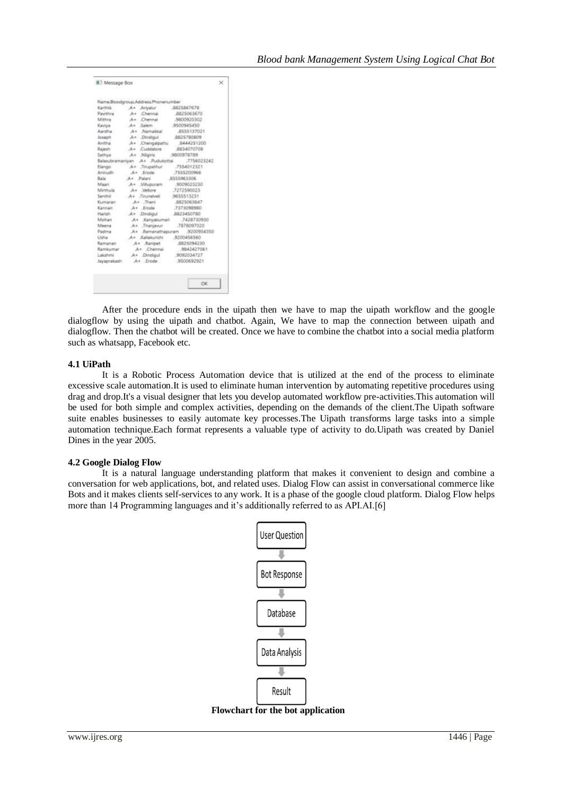| <b>III</b> Message Box |                                              | $\times$ |
|------------------------|----------------------------------------------|----------|
|                        |                                              |          |
|                        | Name.Bloodgroup.Address.Phonenumber          |          |
| Karthik                | A+ Anyalur<br>8825867678                     |          |
| Pavithra               | 8825063670<br>A+ Chennai                     |          |
| Mithra                 | A+ Chennai<br>9800920302                     |          |
| Kaviya                 | $A +$<br>Salem.<br>.9500945450               |          |
| Asndha 1               | A+ Namakkal<br>8555137021                    |          |
| Joseph                 | A+ Dindigul<br>8825780809                    |          |
| Anitha                 | A+ Chengalpattu<br>8444251200                |          |
| Rajesh                 | A+ Cuddalore<br>8834070708                   |          |
| Sathiya                | A+ Nilgiris<br>9800978789                    |          |
|                        | Balasubramaniyan A+ Pudukottai<br>7756023242 |          |
| Elango                 | A+ Tinupathur<br>.7554012321                 |          |
| Anirudh                | $Ar$ Frode<br>.7555200966                    |          |
| Bala                   | A+ Palani<br>8555963306                      |          |
| Maari                  | 9009023230<br>A+ .Villupuram                 |          |
| Mirthula               | Velore<br>7272590023<br>$A +$                |          |
| Semthil                | A+ Tinanelvel<br>9655513231                  |          |
| Kumaran                | A+ Theni<br>8825063647                       |          |
| Kannan                 | A+ Erode<br>7373098980                       |          |
| Harish                 | 8823450780<br>.A+ Dindigul                   |          |
| Mohan                  | A+ Kanyakumari<br>7428730930                 |          |
| Meena                  | A+ Thaniavur<br>.7878097020                  |          |
| Padma                  | A+ Ramanathapuram<br>9200934350              |          |
| Listhia                | A+ Kallakurichi<br>9200456560                |          |
| Ramanan                | 8825094230<br>A+ Ranipet                     |          |
| Ramkumar               | A+ Chennai<br>9842427061                     |          |
| Lakshmi                | A+ Dindigul<br>9092034727                    |          |
| Jayaprakash            | $A+$ Frode<br>9500692921                     |          |
|                        |                                              |          |
|                        |                                              |          |
|                        | OK                                           |          |
|                        |                                              |          |

After the procedure ends in the uipath then we have to map the uipath workflow and the google dialogflow by using the uipath and chatbot. Again, We have to map the connection between uipath and dialogflow. Then the chatbot will be created. Once we have to combine the chatbot into a social media platform such as whatsapp, Facebook etc.

# **4.1 UiPath**

It is a Robotic Process Automation device that is utilized at the end of the process to eliminate excessive scale automation.It is used to eliminate human intervention by automating repetitive procedures using drag and drop.It's a visual designer that lets you develop automated workflow pre-activities.This automation will be used for both simple and complex activities, depending on the demands of the client.The Uipath software suite enables businesses to easily automate key processes.The Uipath transforms large tasks into a simple automation technique.Each format represents a valuable type of activity to do.Uipath was created by Daniel Dines in the year 2005.

## **4.2 Google Dialog Flow**

It is a natural language understanding platform that makes it convenient to design and combine a conversation for web applications, bot, and related uses. Dialog Flow can assist in conversational commerce like Bots and it makes clients self-services to any work. It is a phase of the google cloud platform. Dialog Flow helps more than 14 Programming languages and it's additionally referred to as API.AI.[6]



 **Flowchart for the bot application**